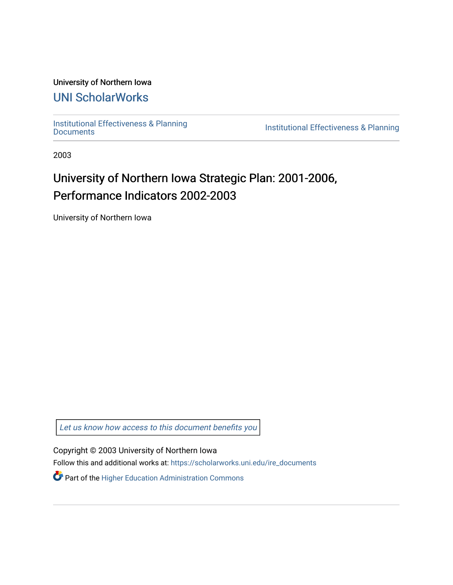## University of Northern Iowa

## [UNI ScholarWorks](https://scholarworks.uni.edu/)

[Institutional Effectiveness & Planning](https://scholarworks.uni.edu/ire_documents)

Institutional Effectiveness & Planning

2003

## University of Northern Iowa Strategic Plan: 2001-2006, Performance Indicators 2002-2003

University of Northern Iowa

[Let us know how access to this document benefits you](https://scholarworks.uni.edu/feedback_form.html) 

Copyright © 2003 University of Northern Iowa

Follow this and additional works at: [https://scholarworks.uni.edu/ire\\_documents](https://scholarworks.uni.edu/ire_documents?utm_source=scholarworks.uni.edu%2Fire_documents%2F276&utm_medium=PDF&utm_campaign=PDFCoverPages) 

Part of the [Higher Education Administration Commons](http://network.bepress.com/hgg/discipline/791?utm_source=scholarworks.uni.edu%2Fire_documents%2F276&utm_medium=PDF&utm_campaign=PDFCoverPages)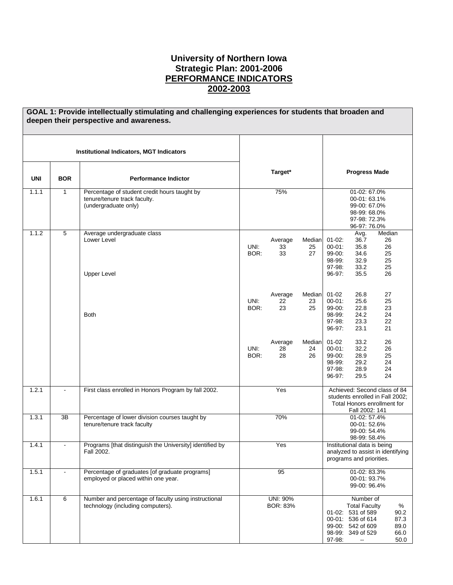## **University of Northern Iowa Strategic Plan: 2001-2006 PERFORMANCE INDICATORS 2002-2003**

|            |                | GOAL 1: Provide intellectually stimulating and challenging experiences for students that broaden and<br>deepen their perspective and awareness. |              |                      |                    |                                                                    |                                                                                                                                                   |                                                                                                |
|------------|----------------|-------------------------------------------------------------------------------------------------------------------------------------------------|--------------|----------------------|--------------------|--------------------------------------------------------------------|---------------------------------------------------------------------------------------------------------------------------------------------------|------------------------------------------------------------------------------------------------|
|            |                | <b>Institutional Indicators, MGT Indicators</b>                                                                                                 |              |                      |                    |                                                                    |                                                                                                                                                   |                                                                                                |
| <b>UNI</b> | <b>BOR</b>     | <b>Performance Indictor</b>                                                                                                                     |              | Target*              |                    |                                                                    | <b>Progress Made</b>                                                                                                                              |                                                                                                |
| 1.1.1      | $\mathbf{1}$   | Percentage of student credit hours taught by<br>tenure/tenure track faculty.<br>(undergraduate only)                                            |              | 75%                  |                    |                                                                    | 01-02: 67.0%<br>00-01:63.1%<br>99-00: 67.0%<br>98-99: 68.0%<br>97-98: 72.3%<br>96-97: 76.0%                                                       |                                                                                                |
| 1.1.2      | $\sqrt{5}$     | Average undergraduate class<br>Lower Level<br><b>Upper Level</b>                                                                                | UNI:<br>BOR: | Average<br>33<br>33  | Median<br>25<br>27 | $01 - 02$ :<br>$00 - 01$ :<br>99-00:<br>98-99:<br>97-98:<br>96-97: | Avg.<br>36.7<br>35.8<br>34.6<br>32.9<br>33.2<br>35.5                                                                                              | Median<br>26<br>26<br>25<br>25<br>25<br>26                                                     |
|            |                | <b>Both</b>                                                                                                                                     | UNI:<br>BOR: | Average<br>22<br>23  | Median<br>23<br>25 | $01 - 02$<br>$00 - 01$ :<br>99-00:<br>98-99:<br>97-98.<br>96-97:   | 26.8<br>25.6<br>22.8<br>24.2<br>23.3<br>23.1                                                                                                      | 27<br>25<br>23<br>24<br>22<br>21                                                               |
|            |                |                                                                                                                                                 | UNI:<br>BOR: | Average<br>28<br>28  | Median<br>24<br>26 | $01 - 02$<br>$00 - 01$ :<br>99-00:<br>98-99:<br>97-98:<br>96-97:   | 33.2<br>32.2<br>28.9<br>29.2<br>28.9<br>29.5                                                                                                      | 26<br>26<br>25<br>24<br>24<br>24                                                               |
| 1.2.1      | $\blacksquare$ | First class enrolled in Honors Program by fall 2002.                                                                                            |              | Yes                  |                    |                                                                    | Fall 2002: 141                                                                                                                                    | Achieved: Second class of 84<br>students enrolled in Fall 2002;<br>Total Honors enrollment for |
| 1.3.1      | 3B             | Percentage of lower division courses taught by<br>tenure/tenure track faculty                                                                   |              | 70%                  |                    |                                                                    | 01-02: 57.4%<br>00-01:52.6%<br>99-00: 54.4%<br>98-99: 58.4%                                                                                       |                                                                                                |
| 1.4.1      |                | Programs [that distinguish the University] identified by<br>Fall 2002.                                                                          |              | Yes                  |                    |                                                                    | Institutional data is being<br>programs and priorities.                                                                                           | analyzed to assist in identifying                                                              |
| 1.5.1      | $\blacksquare$ | Percentage of graduates [of graduate programs]<br>employed or placed within one year.                                                           |              | 95                   |                    |                                                                    | 01-02: 83.3%<br>00-01: 93.7%<br>99-00: 96.4%                                                                                                      |                                                                                                |
| 1.6.1      | 6              | Number and percentage of faculty using instructional<br>technology (including computers).                                                       |              | UNI: 90%<br>BOR: 83% |                    | 97-98:                                                             | Number of<br><b>Total Faculty</b><br>01-02: 531 of 589<br>00-01: 536 of 614<br>99-00: 542 of 609<br>98-99: 349 of 529<br>$\overline{\phantom{a}}$ | %<br>90.2<br>87.3<br>89.0<br>66.0<br>50.0                                                      |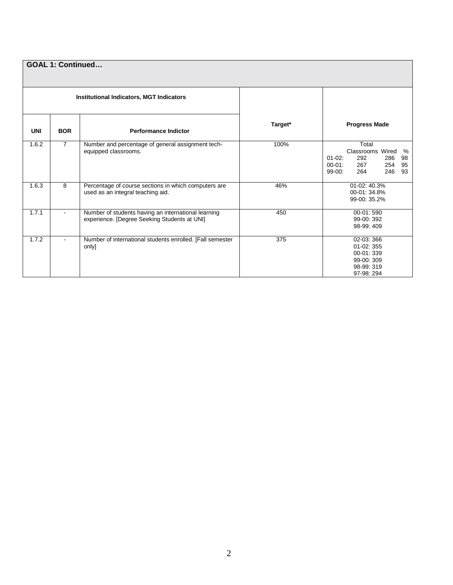|            | <b>GOAL 1: Continued</b> |                                                                                                     |         |                                                                                                                                     |  |  |  |
|------------|--------------------------|-----------------------------------------------------------------------------------------------------|---------|-------------------------------------------------------------------------------------------------------------------------------------|--|--|--|
|            |                          | <b>Institutional Indicators, MGT Indicators</b>                                                     |         |                                                                                                                                     |  |  |  |
| <b>UNI</b> | <b>BOR</b>               | <b>Performance Indictor</b>                                                                         | Target* | <b>Progress Made</b>                                                                                                                |  |  |  |
| 1.6.2      | $\overline{7}$           | Number and percentage of general assignment tech-<br>equipped classrooms.                           | 100%    | Total<br>Classrooms Wired<br>%<br>$01-02$ :<br>292<br>98<br>286<br>$00 - 01$ :<br>267<br>254<br>95<br>$99-00$ :<br>246<br>264<br>93 |  |  |  |
| 1.6.3      | 8                        | Percentage of course sections in which computers are<br>used as an integral teaching aid.           | 46%     | 01-02: 40.3%<br>00-01: 34.8%<br>99-00: 35.2%                                                                                        |  |  |  |
| 1.7.1      | $\sim$                   | Number of students having an international learning<br>experience. [Degree Seeking Students at UNI] | 450     | 00-01:590<br>99-00: 392<br>98-99: 409                                                                                               |  |  |  |
| 1.7.2      | $\blacksquare$           | Number of international students enrolled. [Fall semester<br>only]                                  | 375     | 02-03: 366<br>$01-02:355$<br>00-01: 339<br>99-00: 309<br>98-99: 319<br>97-98: 294                                                   |  |  |  |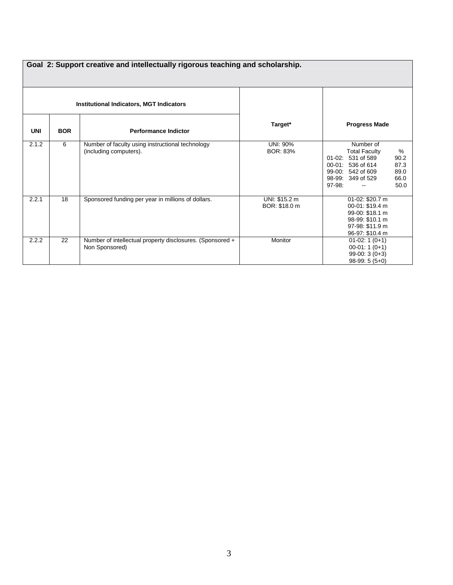|            | Goal 2: Support creative and intellectually rigorous teaching and scholarship. |                                                           |                 |                                                        |  |  |  |  |
|------------|--------------------------------------------------------------------------------|-----------------------------------------------------------|-----------------|--------------------------------------------------------|--|--|--|--|
|            |                                                                                |                                                           |                 |                                                        |  |  |  |  |
|            |                                                                                |                                                           |                 |                                                        |  |  |  |  |
|            |                                                                                |                                                           |                 |                                                        |  |  |  |  |
|            |                                                                                |                                                           |                 |                                                        |  |  |  |  |
|            |                                                                                | <b>Institutional Indicators, MGT Indicators</b>           |                 |                                                        |  |  |  |  |
|            |                                                                                |                                                           | Target*         | <b>Progress Made</b>                                   |  |  |  |  |
| <b>UNI</b> | <b>BOR</b>                                                                     | <b>Performance Indictor</b>                               |                 |                                                        |  |  |  |  |
| 2.1.2      | 6                                                                              | Number of faculty using instructional technology          | UNI: 90%        | Number of                                              |  |  |  |  |
|            |                                                                                | (including computers).                                    | <b>BOR: 83%</b> | %<br><b>Total Faculty</b>                              |  |  |  |  |
|            |                                                                                |                                                           |                 | 01-02: 531 of 589<br>90.2                              |  |  |  |  |
|            |                                                                                |                                                           |                 | 87.3<br>00-01: 536 of 614<br>89.0<br>99-00: 542 of 609 |  |  |  |  |
|            |                                                                                |                                                           |                 | 66.0<br>98-99: 349 of 529                              |  |  |  |  |
|            |                                                                                |                                                           |                 | $97-98$ :<br>50.0                                      |  |  |  |  |
| 2.2.1      | 18                                                                             |                                                           | UNI: \$15.2 m   | 01-02: \$20.7 m                                        |  |  |  |  |
|            |                                                                                | Sponsored funding per year in millions of dollars.        | BOR: \$18.0 m   | 00-01: \$19.4 m                                        |  |  |  |  |
|            |                                                                                |                                                           |                 | 99-00: \$18.1 m                                        |  |  |  |  |
|            |                                                                                |                                                           |                 | 98-99: \$10.1 m                                        |  |  |  |  |
|            |                                                                                |                                                           |                 | 97-98: \$11.9 m                                        |  |  |  |  |
|            |                                                                                |                                                           |                 | 96-97: \$10.4 m                                        |  |  |  |  |
| 2.2.2      | 22                                                                             | Number of intellectual property disclosures. (Sponsored + | Monitor         | $01-02:1(0+1)$                                         |  |  |  |  |
|            |                                                                                | Non Sponsored)                                            |                 | $00-01:1(0+1)$                                         |  |  |  |  |
|            |                                                                                |                                                           |                 | $99-00:3(0+3)$                                         |  |  |  |  |
|            |                                                                                |                                                           |                 | $98-99:5(5+0)$                                         |  |  |  |  |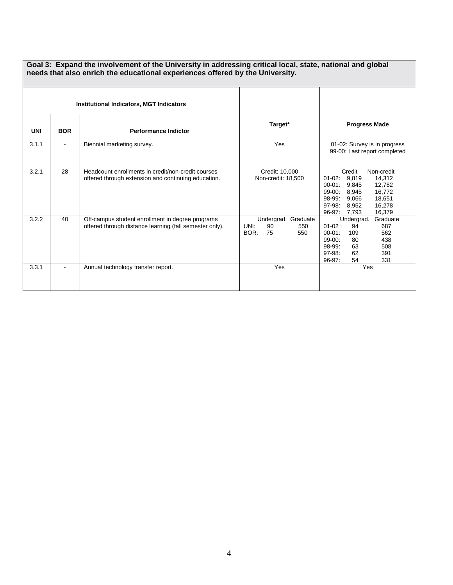|            | Goal 3: Expand the involvement of the University in addressing critical local, state, national and global<br>needs that also enrich the educational experiences offered by the University. |                                                                                                             |                                                               |                                                                                                                                                                                                                   |  |  |  |
|------------|--------------------------------------------------------------------------------------------------------------------------------------------------------------------------------------------|-------------------------------------------------------------------------------------------------------------|---------------------------------------------------------------|-------------------------------------------------------------------------------------------------------------------------------------------------------------------------------------------------------------------|--|--|--|
|            |                                                                                                                                                                                            | <b>Institutional Indicators, MGT Indicators</b>                                                             |                                                               |                                                                                                                                                                                                                   |  |  |  |
| <b>UNI</b> | <b>BOR</b>                                                                                                                                                                                 | <b>Performance Indictor</b>                                                                                 | Target*                                                       | <b>Progress Made</b>                                                                                                                                                                                              |  |  |  |
| 3.1.1      | $\blacksquare$                                                                                                                                                                             | Biennial marketing survey.                                                                                  | Yes                                                           | 01-02: Survey is in progress<br>99-00: Last report completed                                                                                                                                                      |  |  |  |
| 3.2.1      | 28                                                                                                                                                                                         | Headcount enrollments in credit/non-credit courses<br>offered through extension and continuing education.   | Credit: 10.000<br>Non-credit: 18,500                          | Credit<br>Non-credit<br>$01 - 02$ :<br>9,819<br>14,312<br>12,782<br>$00 - 01$ :<br>9.845<br>$99-00$ :<br>8,945<br>16,772<br>98-99:<br>9,066<br>18,651<br>$97-98:$<br>8.952<br>16,278<br>16,379<br>96-97:<br>7.793 |  |  |  |
| 3.2.2      | 40                                                                                                                                                                                         | Off-campus student enrollment in degree programs<br>offered through distance learning (fall semester only). | Undergrad. Graduate<br>UNI:<br>90<br>550<br>BOR:<br>75<br>550 | Graduate<br>Undergrad.<br>$01-02$ :<br>687<br>94<br>$00 - 01$ :<br>562<br>109<br>$99 - 00:$<br>438<br>80<br>98-99:<br>508<br>63<br>97-98:<br>62<br>391<br>54<br>331<br>96-97:                                     |  |  |  |
| 3.3.1      |                                                                                                                                                                                            | Annual technology transfer report.                                                                          | Yes                                                           | Yes                                                                                                                                                                                                               |  |  |  |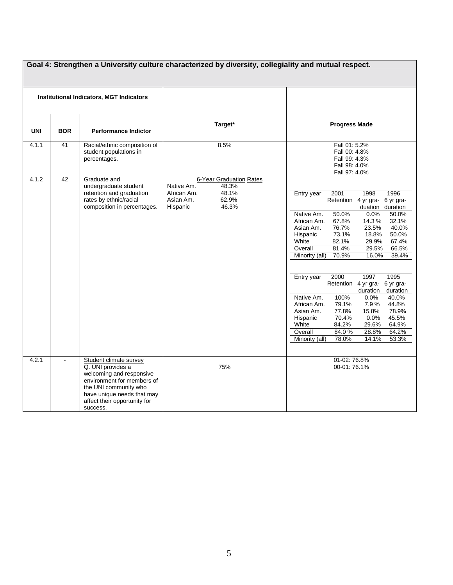| Goal 4: Strengthen a University culture characterized by diversity, collegiality and mutual respect. |                 |                                                                                                                                                                                                          |                                                                                                                   |                                                                                                                                                                                                                                                                                                                                                                                                                                                                                                                                                                                                                                                                                                                                                                        |  |  |
|------------------------------------------------------------------------------------------------------|-----------------|----------------------------------------------------------------------------------------------------------------------------------------------------------------------------------------------------------|-------------------------------------------------------------------------------------------------------------------|------------------------------------------------------------------------------------------------------------------------------------------------------------------------------------------------------------------------------------------------------------------------------------------------------------------------------------------------------------------------------------------------------------------------------------------------------------------------------------------------------------------------------------------------------------------------------------------------------------------------------------------------------------------------------------------------------------------------------------------------------------------------|--|--|
| <b>Institutional Indicators, MGT Indicators</b>                                                      |                 |                                                                                                                                                                                                          |                                                                                                                   |                                                                                                                                                                                                                                                                                                                                                                                                                                                                                                                                                                                                                                                                                                                                                                        |  |  |
| <b>UNI</b>                                                                                           | <b>BOR</b>      | <b>Performance Indictor</b>                                                                                                                                                                              | Target*                                                                                                           | <b>Progress Made</b>                                                                                                                                                                                                                                                                                                                                                                                                                                                                                                                                                                                                                                                                                                                                                   |  |  |
| 4.1.1                                                                                                | 41              | Racial/ethnic composition of<br>student populations in<br>percentages.                                                                                                                                   | 8.5%                                                                                                              | Fall 01: 5.2%<br>Fall 00: 4.8%<br>Fall 99: 4.3%<br>Fall 98: 4.0%<br>Fall 97: 4.0%                                                                                                                                                                                                                                                                                                                                                                                                                                                                                                                                                                                                                                                                                      |  |  |
| 4.1.2                                                                                                | $\overline{42}$ | Graduate and<br>undergraduate student<br>retention and graduation<br>rates by ethnic/racial<br>composition in percentages.                                                                               | 6-Year Graduation Rates<br>Native Am.<br>48.3%<br>48.1%<br>African Am.<br>62.9%<br>Asian Am.<br>Hispanic<br>46.3% | 1998<br>2001<br>1996<br>Entry year<br>Retention 4 yr gra- 6 yr gra-<br>duation duration<br>Native Am.<br>50.0%<br>0.0%<br>50.0%<br>67.8%<br>14.3%<br>32.1%<br>African Am.<br>Asian Am.<br>76.7%<br>23.5%<br>40.0%<br>50.0%<br>Hispanic<br>73.1%<br>18.8%<br>White<br>82.1%<br>29.9%<br>67.4%<br>Overall<br>81.4%<br>29.5%<br>66.5%<br>Minority (all)<br>70.9%<br>16.0%<br>39.4%<br>1997<br>Entry year<br>2000<br>1995<br>Retention 4 yr gra-<br>6 yr gra-<br>duration<br>duration<br>100%<br>0.0%<br>40.0%<br>Native Am.<br>79.1%<br>7.9%<br>44.8%<br>African Am.<br>78.9%<br>Asian Am.<br>77.8%<br>15.8%<br>70.4%<br>0.0%<br>45.5%<br>Hispanic<br>White<br>84.2%<br>64.9%<br>29.6%<br>Overall<br>84.0%<br>64.2%<br>28.8%<br>Minority (all)<br>78.0%<br>14.1%<br>53.3% |  |  |
| 4.2.1                                                                                                |                 | Student climate survey<br>Q. UNI provides a<br>welcoming and responsive<br>environment for members of<br>the UNI community who<br>have unique needs that may<br>affect their opportunity for<br>success. | 75%                                                                                                               | 01-02: 76.8%<br>00-01:76.1%                                                                                                                                                                                                                                                                                                                                                                                                                                                                                                                                                                                                                                                                                                                                            |  |  |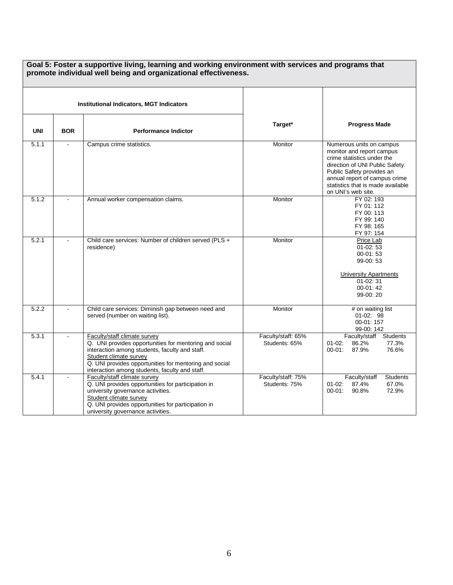|            |                                                 | Goal 5: Foster a supportive living, learning and working environment with services and programs that<br>promote individual well being and organizational effectiveness.                                                                                                        |                                     |                                                                                                                                                                                                                                                 |
|------------|-------------------------------------------------|--------------------------------------------------------------------------------------------------------------------------------------------------------------------------------------------------------------------------------------------------------------------------------|-------------------------------------|-------------------------------------------------------------------------------------------------------------------------------------------------------------------------------------------------------------------------------------------------|
|            | <b>Institutional Indicators, MGT Indicators</b> |                                                                                                                                                                                                                                                                                |                                     |                                                                                                                                                                                                                                                 |
| <b>UNI</b> | <b>BOR</b>                                      | <b>Performance Indictor</b>                                                                                                                                                                                                                                                    | Target*                             | <b>Progress Made</b>                                                                                                                                                                                                                            |
| 5.1.1      |                                                 | Campus crime statistics.                                                                                                                                                                                                                                                       | Monitor                             | Numerous units on campus<br>monitor and report campus<br>crime statistics under the<br>direction of UNI Public Safety.<br>Public Safety provides an<br>annual report of campus crime<br>statistics that is made available<br>on UNI's web site. |
| 5.1.2      |                                                 | Annual worker compensation claims.                                                                                                                                                                                                                                             | Monitor                             | FY 02: 193<br>FY 01: 112<br>FY 00: 113<br>FY 99: 140<br>FY 98: 165<br>FY 97: 154                                                                                                                                                                |
| 5.2.1      |                                                 | Child care services: Number of children served (PLS +<br>residence)                                                                                                                                                                                                            | Monitor                             | Price Lab<br>$01-02:53$<br>$00 - 01:53$<br>99-00:53<br><b>University Apartments</b><br>01-02:31<br>$00-01:42$<br>99-00:20                                                                                                                       |
| 5.2.2      |                                                 | Child care services: Diminish gap between need and<br>served (number on waiting list).                                                                                                                                                                                         | Monitor                             | # on waiting list<br>$01-02:98$<br>00-01:157<br>99-00: 142                                                                                                                                                                                      |
| 5.3.1      |                                                 | Faculty/staff climate survey<br>Q. UNI provides opportunities for mentoring and social<br>interaction among students, faculty and staff.<br>Student climate survey<br>Q. UNI provides opportunities for mentoring and social<br>interaction among students, faculty and staff. | Faculty/staff: 65%<br>Students: 65% | <b>Students</b><br>Faculty/staff<br>$01-02$ :<br>86.2%<br>77.3%<br>87.9%<br>76.6%<br>$00 - 01$ :                                                                                                                                                |
| 5.4.1      |                                                 | Faculty/staff climate survey<br>Q. UNI provides opportunities for participation in<br>university governance activities.<br>Student climate survey<br>Q. UNI provides opportunities for participation in<br>university governance activities.                                   | Faculty/staff: 75%<br>Students: 75% | Faculty/staff<br><b>Students</b><br>87.4%<br>$01 - 02$ :<br>67.0%<br>$00-01$ :<br>90.8%<br>72.9%                                                                                                                                                |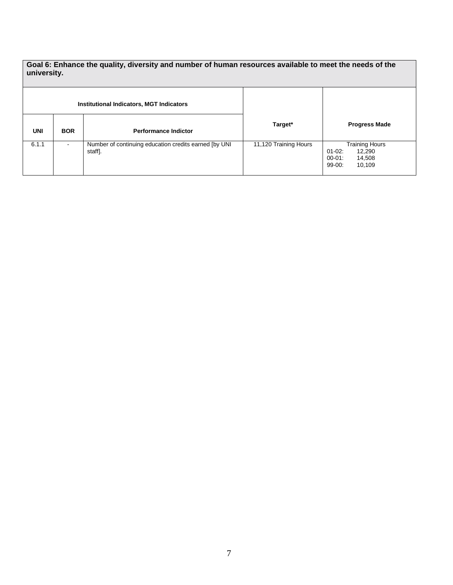**Goal 6: Enhance the quality, diversity and number of human resources available to meet the needs of the university.** 

| <b>Institutional Indicators, MGT Indicators</b> |            |                                                                   |                       |                                                                                        |
|-------------------------------------------------|------------|-------------------------------------------------------------------|-----------------------|----------------------------------------------------------------------------------------|
| <b>UNI</b>                                      | <b>BOR</b> | <b>Performance Indictor</b>                                       | Target*               | <b>Progress Made</b>                                                                   |
| 6.1.1                                           |            | Number of continuing education credits earned [by UNI]<br>staff]. | 11,120 Training Hours | <b>Training Hours</b><br>12,290<br>$01 - 02$ :<br>00-01:<br>14,508<br>99-00:<br>10,109 |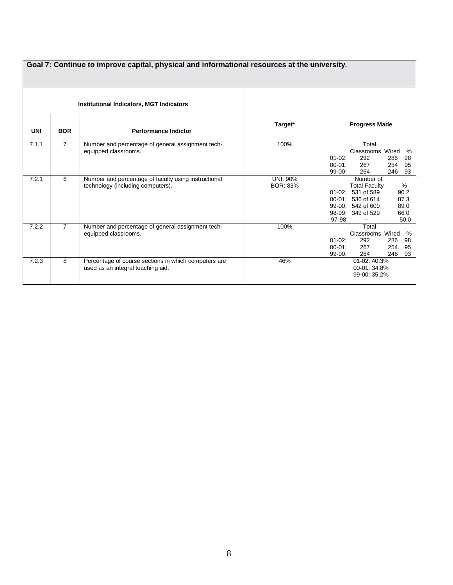|            | Goal 7: Continue to improve capital, physical and informational resources at the university. |                                                                                           |                             |                                                                                                                                                                                               |  |  |  |
|------------|----------------------------------------------------------------------------------------------|-------------------------------------------------------------------------------------------|-----------------------------|-----------------------------------------------------------------------------------------------------------------------------------------------------------------------------------------------|--|--|--|
|            |                                                                                              | <b>Institutional Indicators, MGT Indicators</b>                                           |                             |                                                                                                                                                                                               |  |  |  |
| <b>UNI</b> | <b>BOR</b>                                                                                   | <b>Performance Indictor</b>                                                               | Target*                     | <b>Progress Made</b>                                                                                                                                                                          |  |  |  |
| 7.1.1      | $\overline{7}$                                                                               | Number and percentage of general assignment tech-<br>equipped classrooms.                 | 100%                        | Total<br>Classrooms Wired<br>%<br>$01-02$ :<br>292<br>286<br>98<br>95<br>$00 - 01$ :<br>267<br>254<br>93<br>$99-00:$<br>264<br>246                                                            |  |  |  |
| 7.2.1      | 6                                                                                            | Number and percentage of faculty using instructional<br>technology (including computers). | UNI: 90%<br><b>BOR: 83%</b> | Number of<br>%<br><b>Total Faculty</b><br>01-02: 531 of 589<br>90.2<br>00-01: 536 of 614<br>87.3<br>99-00: 542 of 609<br>89.0<br>66.0<br>98-99: 349 of 529<br>97-98:<br>50.0<br>$\sim$ $\sim$ |  |  |  |
| 7.2.2      | $\overline{7}$                                                                               | Number and percentage of general assignment tech-<br>equipped classrooms.                 | 100%                        | Total<br>Classrooms Wired<br>%<br>$01 - 02$ :<br>292<br>286<br>98<br>$00 - 01$ :<br>267<br>95<br>254<br>93<br>$99-00:$<br>264<br>246                                                          |  |  |  |
| 7.2.3      | 8                                                                                            | Percentage of course sections in which computers are<br>used as an integral teaching aid. | 46%                         | 01-02: 40.3%<br>00-01: 34.8%<br>99-00: 35.2%                                                                                                                                                  |  |  |  |